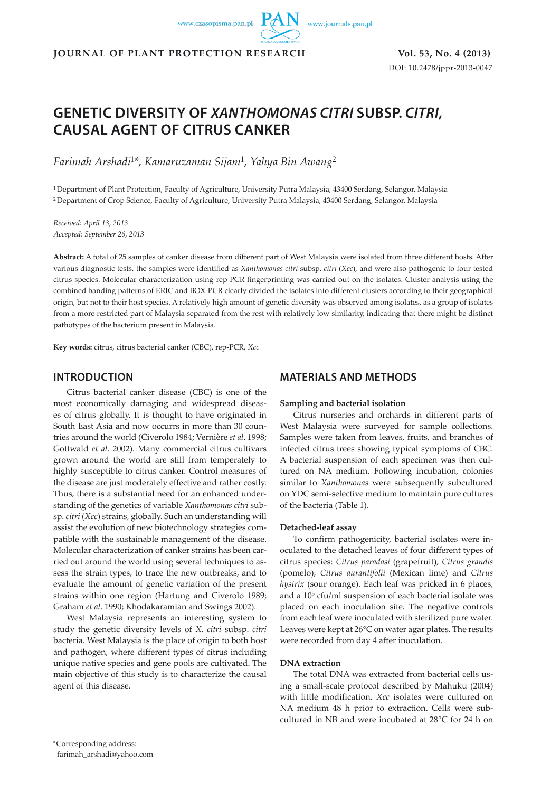www.czasopisma.pan.pl



DOI: 10.2478/jppr-2013-0047

**JOURNAL OF PLANT PROTECTION RESEARCH Vol. 53, No. 4 (2013)**

# **GENETIC DIVERSITY OF** *XANTHOMONAS CITRI* **SUBSP.** *CITRI***, CAUSAL AGENT OF CITRUS CANKER**

*Farimah Arshadi*<sup>1</sup>*\**, *Kamaruzaman Sijam*1, *Yahya Bin Awang*<sup>2</sup>

1 Department of Plant Protection, Faculty of Agriculture, University Putra Malaysia, 43400 Serdang, Selangor, Malaysia 2 Department of Crop Science, Faculty of Agriculture, University Putra Malaysia, 43400 Serdang, Selangor, Malaysia

*Received: April 13, 2013 Accepted: September 26, 2013*

**Abstract:** A total of 25 samples of canker disease from different part of West Malaysia were isolated from three different hosts. After various diagnostic tests, the samples were identified as *Xanthomonas citri* subsp. *citri* (*Xcc*), and were also pathogenic to four tested citrus species. Molecular characterization using rep-PCR fingerprinting was carried out on the isolates. Cluster analysis using the combined banding patterns of ERIC and BOX-PCR clearly divided the isolates into different clusters according to their geographical origin, but not to their host species. A relatively high amount of genetic diversity was observed among isolates, as a group of isolates from a more restricted part of Malaysia separated from the rest with relatively low similarity, indicating that there might be distinct pathotypes of the bacterium present in Malaysia.

**Key words:** citrus, citrus bacterial canker (CBC), rep-PCR, *Xcc*

# **INTRODUCTION**

Citrus bacterial canker disease (CBC) is one of the most economically damaging and widespread diseases of citrus globally. It is thought to have originated in South East Asia and now occurrs in more than 30 countries around the world (Civerolo 1984; Vernière *et al*. 1998; Gottwald *et al*. 2002). Many commercial citrus cultivars grown around the world are still from temperately to highly susceptible to citrus canker. Control measures of the disease are just moderately effective and rather costly. Thus, there is a substantial need for an enhanced understanding of the genetics of variable *Xanthomonas citri* subsp. *citri* (*Xcc*) strains, globally. Such an understanding will assist the evolution of new biotechnology strategies compatible with the sustainable management of the disease. Molecular characterization of canker strains has been carried out around the world using several techniques to assess the strain types, to trace the new outbreaks, and to evaluate the amount of genetic variation of the present strains within one region (Hartung and Civerolo 1989; Graham *et al*. 1990; Khodakaramian and Swings 2002).

West Malaysia represents an interesting system to study the genetic diversity levels of *X. citri* subsp. *citri*  bacteria. West Malaysia is the place of origin to both host and pathogen, where different types of citrus including unique native species and gene pools are cultivated. The main objective of this study is to characterize the causal agent of this disease.

# **MATERIALS AND METHODS**

#### **Sampling and bacterial isolation**

Citrus nurseries and orchards in different parts of West Malaysia were surveyed for sample collections. Samples were taken from leaves, fruits, and branches of infected citrus trees showing typical symptoms of CBC. A bacterial suspension of each specimen was then cultured on NA medium. Following incubation, colonies similar to *Xanthomonas* were subsequently subcultured on YDC semi-selective medium to maintain pure cultures of the bacteria (Table 1).

#### **Detached-leaf assay**

To confirm pathogenicity, bacterial isolates were inoculated to the detached leaves of four different types of citrus species: *Citrus paradasi* (grapefruit), *Citrus grandis*  (pomelo), *Citrus aurantifolii* (Mexican lime) and *Citrus hystrix* (sour orange). Each leaf was pricked in 6 places, and a 105 cfu/ml suspension of each bacterial isolate was placed on each inoculation site. The negative controls from each leaf were inoculated with sterilized pure water. Leaves were kept at 26°C on water agar plates. The results were recorded from day 4 after inoculation.

## **DNA extraction**

The total DNA was extracted from bacterial cells using a small-scale protocol described by Mahuku (2004) with little modification. *Xcc* isolates were cultured on NA medium 48 h prior to extraction. Cells were subcultured in NB and were incubated at 28°C for 24 h on

\*Corresponding address:

farimah\_arshadi@yahoo.com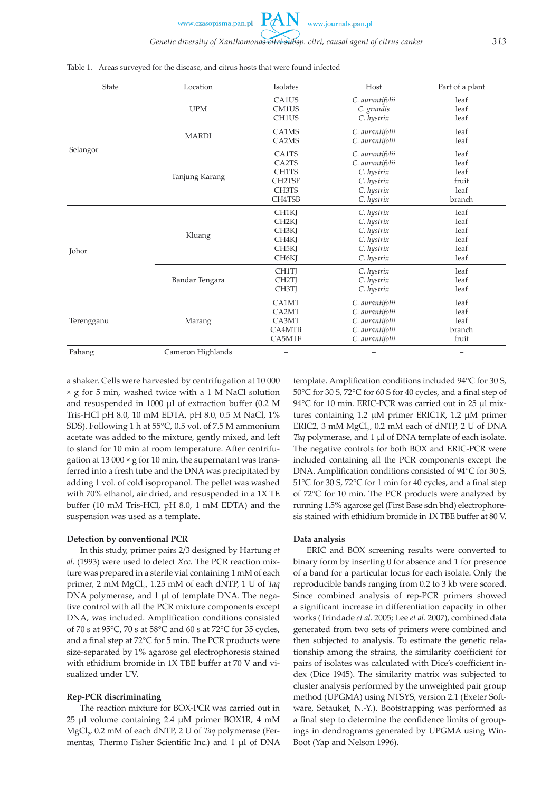www.journals.pan.pl www.czasopisma.pan.pl *Genetic diversity of Xanthomonas citri subsp. citri, causal agent of citrus canker 313*

| State      | Location          | Isolates                                                                                                          | Host                                                                                        | Part of a plant                                 |
|------------|-------------------|-------------------------------------------------------------------------------------------------------------------|---------------------------------------------------------------------------------------------|-------------------------------------------------|
| Selangor   | <b>UPM</b>        | CA1US<br>CM1US<br>CH1US                                                                                           | C. aurantifolii<br>C. grandis<br>C. hystrix                                                 | leaf<br>leaf<br>leaf                            |
|            | <b>MARDI</b>      | CA1MS<br>CA <sub>2</sub> M <sub>S</sub>                                                                           | C. aurantifolii<br>C. aurantifolii                                                          | leaf<br>leaf                                    |
|            | Tanjung Karang    | CA1TS<br>CA <sub>2</sub> T <sub>S</sub><br>CH1TS<br><b>CH2TSF</b><br>CH3TS<br>CH4TSB                              | C. aurantifolii<br>C. aurantifolii<br>C. hystrix<br>C. hystrix<br>C. hystrix<br>C. hystrix  | leaf<br>leaf<br>leaf<br>fruit<br>leaf<br>branch |
| Johor      | Kluang            | CH1KJ<br>CH <sub>2K</sub><br>CH <sub>3</sub> KJ<br>CH <sub>4</sub> KJ<br>CH <sub>5</sub> KI<br>CH <sub>6</sub> KJ | C. hystrix<br>C. hystrix<br>C. hystrix<br>C. hystrix<br>C. hystrix<br>C. hystrix            | leaf<br>leaf<br>leaf<br>leaf<br>leaf<br>leaf    |
|            | Bandar Tengara    | CH1TI<br>CH <sub>2</sub> TI<br>CH3TJ                                                                              | C. hystrix<br>C. hystrix<br>C. hystrix                                                      | leaf<br>leaf<br>leaf                            |
| Terengganu | Marang            | CA1MT<br>CA2MT<br>CA3MT<br>CA4MTB<br>CA5MTF                                                                       | C. aurantifolii<br>C. aurantifolii<br>C. aurantifolii<br>C. aurantifolii<br>C. aurantifolii | leaf<br>leaf<br>leaf<br>branch<br>fruit         |
| Pahang     | Cameron Highlands | $\overline{\phantom{0}}$                                                                                          |                                                                                             | $\overline{\phantom{0}}$                        |

Table 1. Areas surveyed for the disease, and citrus hosts that were found infected

a shaker. Cells were harvested by centrifugation at 10 000 × g for 5 min, washed twice with a 1 M NaCl solution and resuspended in 1000 μl of extraction buffer (0.2 M Tris-HCl pH 8.0, 10 mM EDTA, pH 8.0, 0.5 M NaCl, 1% SDS). Following 1 h at 55°C, 0.5 vol. of 7.5 M ammonium acetate was added to the mixture, gently mixed, and left to stand for 10 min at room temperature. After centrifugation at 13 000  $\times$  g for 10 min, the supernatant was transferred into a fresh tube and the DNA was precipitated by adding 1 vol. of cold isopropanol. The pellet was washed with 70% ethanol, air dried, and resuspended in a 1X TE buffer (10 mM Tris-HCl, pH 8.0, 1 mM EDTA) and the suspension was used as a template.

#### **Detection by conventional PCR**

In this study, primer pairs 2/3 designed by Hartung *et al*. (1993) were used to detect *Xcc*. The PCR reaction mixture was prepared in a sterile vial containing 1 mM of each primer, 2 mM MgCl<sub>2</sub>, 1.25 mM of each dNTP, 1 U of *Taq* DNA polymerase, and 1 μl of template DNA. The negative control with all the PCR mixture components except DNA, was included. Amplification conditions consisted of 70 s at 95°C, 70 s at 58°C and 60 s at 72°C for 35 cycles, and a final step at 72°C for 5 min. The PCR products were size-separated by 1% agarose gel electrophoresis stained with ethidium bromide in 1X TBE buffer at 70 V and visualized under UV.

#### **Rep-PCR discriminating**

The reaction mixture for BOX-PCR was carried out in 25 μl volume containing 2.4 μM primer BOX1R, 4 mM MgCl<sub>2</sub>, 0.2 mM of each dNTP, 2 U of *Taq* polymerase (Fermentas, Thermo Fisher Scientific Inc.) and 1 μl of DNA template. Amplification conditions included 94°C for 30 S, 50°C for 30 S, 72°C for 60 S for 40 cycles, and a final step of 94°C for 10 min. ERIC-PCR was carried out in 25 μl mixtures containing 1.2 μM primer ERIC1R, 1.2 μM primer ERIC2, 3 mM  $MgCl<sub>2</sub>$ , 0.2 mM each of dNTP, 2 U of DNA *Taq* polymerase, and 1 μl of DNA template of each isolate. The negative controls for both BOX and ERIC-PCR were included containing all the PCR components except the DNA. Amplification conditions consisted of 94°C for 30 S, 51°C for 30 S, 72°C for 1 min for 40 cycles, and a final step of 72°C for 10 min. The PCR products were analyzed by running 1.5% agarose gel (First Base sdn bhd) electrophoresis stained with ethidium bromide in 1X TBE buffer at 80 V.

## **Data analysis**

ERIC and BOX screening results were converted to binary form by inserting 0 for absence and 1 for presence of a band for a particular locus for each isolate. Only the reproducible bands ranging from 0.2 to 3 kb were scored. Since combined analysis of rep-PCR primers showed a significant increase in differentiation capacity in other works (Trindade *et al*. 2005; Lee *et al*. 2007), combined data generated from two sets of primers were combined and then subjected to analysis. To estimate the genetic relationship among the strains, the similarity coefficient for pairs of isolates was calculated with Dice's coefficient index (Dice 1945). The similarity matrix was subjected to cluster analysis performed by the unweighted pair group method (UPGMA) using NTSYS, version 2.1 (Exeter Software, Setauket, N.-Y.). Bootstrapping was performed as a final step to determine the confidence limits of groupings in dendrograms generated by UPGMA using Win-Boot (Yap and Nelson 1996).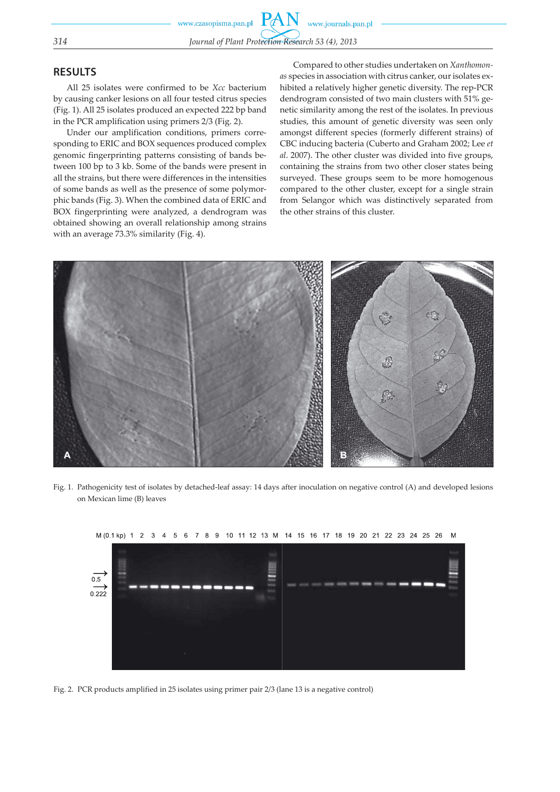# **RESULTS**

All 25 isolates were confirmed to be *Xcc* bacterium by causing canker lesions on all four tested citrus species (Fig. 1). All 25 isolates produced an expected 222 bp band in the PCR amplification using primers 2/3 (Fig. 2).

Under our amplification conditions, primers corresponding to ERIC and BOX sequences produced complex genomic fingerprinting patterns consisting of bands between 100 bp to 3 kb. Some of the bands were present in all the strains, but there were differences in the intensities of some bands as well as the presence of some polymorphic bands (Fig. 3). When the combined data of ERIC and BOX fingerprinting were analyzed, a dendrogram was obtained showing an overall relationship among strains with an average 73.3% similarity (Fig. 4).

Compared to other studies undertaken on *Xanthomonas* species in association with citrus canker, our isolates exhibited a relatively higher genetic diversity. The rep-PCR dendrogram consisted of two main clusters with 51% genetic similarity among the rest of the isolates. In previous studies, this amount of genetic diversity was seen only amongst different species (formerly different strains) of CBC inducing bacteria (Cuberto and Graham 2002; Lee *et al*. 2007). The other cluster was divided into five groups, containing the strains from two other closer states being surveyed. These groups seem to be more homogenous compared to the other cluster, except for a single strain from Selangor which was distinctively separated from the other strains of this cluster.



Fig. 1. Pathogenicity test of isolates by detached-leaf assay: 14 days after inoculation on negative control (A) and developed lesions on Mexican lime (B) leaves



M (0.1 kp) 1 2 3 4 5 6 7 8 9 10 11 12 13 M 14 15 16 17 18 19 20 21 22 23 24 25 26

Fig. 2. PCR products amplified in 25 isolates using primer pair 2/3 (lane 13 is a negative control)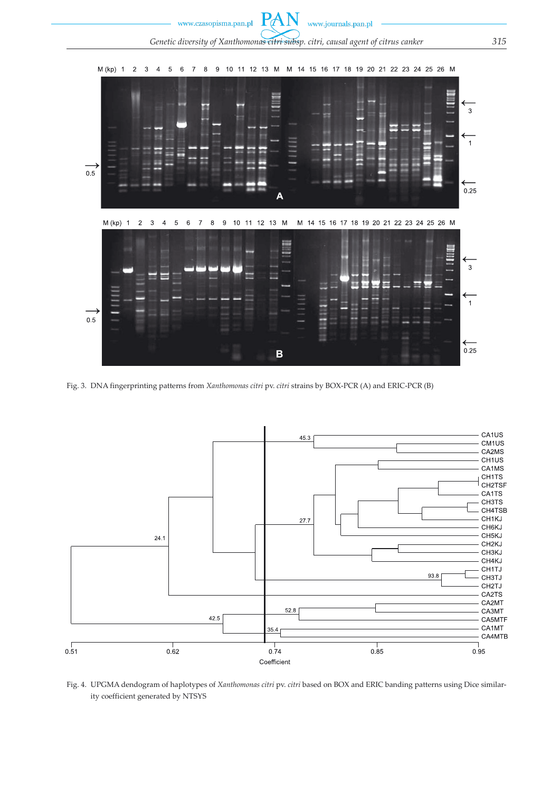

Fig. 3. DNA fingerprinting patterns from *Xanthomonas citri* pv. *citri* strains by BOX-PCR (A) and ERIC-PCR (B)



Fig. 4. UPGMA dendogram of haplotypes of *Xanthomonas citri* pv. *citri* based on BOX and ERIC banding patterns using Dice similarity coefficient generated by NTSYS